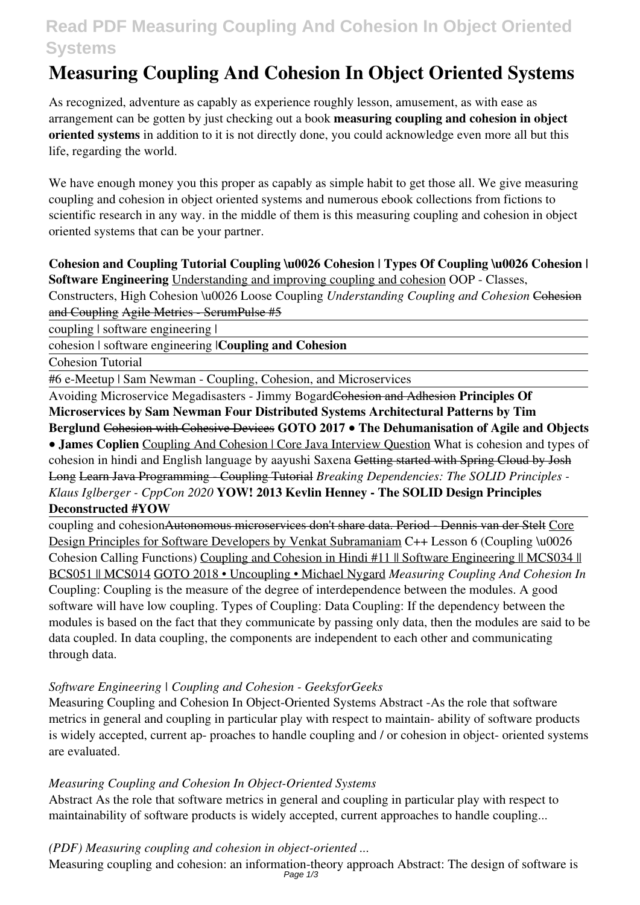## **Read PDF Measuring Coupling And Cohesion In Object Oriented Systems**

# **Measuring Coupling And Cohesion In Object Oriented Systems**

As recognized, adventure as capably as experience roughly lesson, amusement, as with ease as arrangement can be gotten by just checking out a book **measuring coupling and cohesion in object oriented systems** in addition to it is not directly done, you could acknowledge even more all but this life, regarding the world.

We have enough money you this proper as capably as simple habit to get those all. We give measuring coupling and cohesion in object oriented systems and numerous ebook collections from fictions to scientific research in any way. in the middle of them is this measuring coupling and cohesion in object oriented systems that can be your partner.

### **Cohesion and Coupling Tutorial Coupling \u0026 Cohesion | Types Of Coupling \u0026 Cohesion | Software Engineering** Understanding and improving coupling and cohesion OOP - Classes, Constructers, High Cohesion \u0026 Loose Coupling *Understanding Coupling and Cohesion* Cohesion

and Coupling Agile Metrics - ScrumPulse #5

coupling | software engineering |

cohesion | software engineering |**Coupling and Cohesion**

Cohesion Tutorial

#6 e-Meetup | Sam Newman - Coupling, Cohesion, and Microservices

Avoiding Microservice Megadisasters - Jimmy BogardCohesion and Adhesion **Principles Of Microservices by Sam Newman Four Distributed Systems Architectural Patterns by Tim Berglund** Cohesion with Cohesive Devices **GOTO 2017 • The Dehumanisation of Agile and Objects • James Coplien** Coupling And Cohesion | Core Java Interview Question What is cohesion and types of cohesion in hindi and English language by aayushi Saxena Getting started with Spring Cloud by Josh Long Learn Java Programming - Coupling Tutorial *Breaking Dependencies: The SOLID Principles - Klaus Iglberger - CppCon 2020* **YOW! 2013 Kevlin Henney - The SOLID Design Principles**

#### **Deconstructed #YOW**

coupling and cohesionAutonomous microservices don't share data. Period - Dennis van der Stelt Core Design Principles for Software Developers by Venkat Subramaniam C++ Lesson 6 (Coupling \u0026 Cohesion Calling Functions) Coupling and Cohesion in Hindi #11 || Software Engineering || MCS034 || BCS051 || MCS014 GOTO 2018 • Uncoupling • Michael Nygard *Measuring Coupling And Cohesion In* Coupling: Coupling is the measure of the degree of interdependence between the modules. A good software will have low coupling. Types of Coupling: Data Coupling: If the dependency between the modules is based on the fact that they communicate by passing only data, then the modules are said to be data coupled. In data coupling, the components are independent to each other and communicating through data.

#### *Software Engineering | Coupling and Cohesion - GeeksforGeeks*

Measuring Coupling and Cohesion In Object-Oriented Systems Abstract -As the role that software metrics in general and coupling in particular play with respect to maintain- ability of software products is widely accepted, current ap- proaches to handle coupling and / or cohesion in object- oriented systems are evaluated.

#### *Measuring Coupling and Cohesion In Object-Oriented Systems*

Abstract As the role that software metrics in general and coupling in particular play with respect to maintainability of software products is widely accepted, current approaches to handle coupling...

#### *(PDF) Measuring coupling and cohesion in object-oriented ...*

Measuring coupling and cohesion: an information-theory approach Abstract: The design of software is

Page 1/3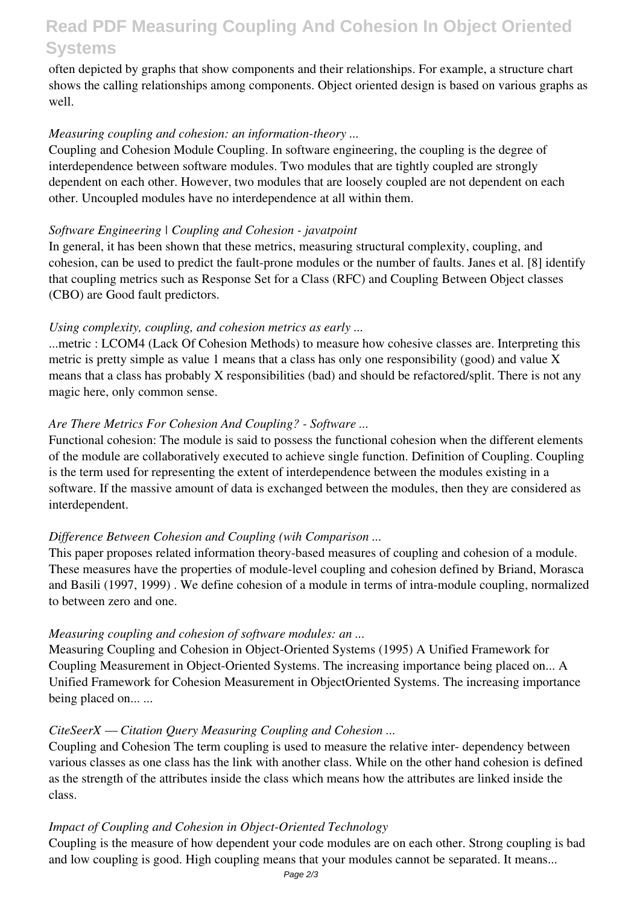### **Read PDF Measuring Coupling And Cohesion In Object Oriented Systems**

often depicted by graphs that show components and their relationships. For example, a structure chart shows the calling relationships among components. Object oriented design is based on various graphs as well.

#### *Measuring coupling and cohesion: an information-theory ...*

Coupling and Cohesion Module Coupling. In software engineering, the coupling is the degree of interdependence between software modules. Two modules that are tightly coupled are strongly dependent on each other. However, two modules that are loosely coupled are not dependent on each other. Uncoupled modules have no interdependence at all within them.

#### *Software Engineering | Coupling and Cohesion - javatpoint*

In general, it has been shown that these metrics, measuring structural complexity, coupling, and cohesion, can be used to predict the fault-prone modules or the number of faults. Janes et al. [8] identify that coupling metrics such as Response Set for a Class (RFC) and Coupling Between Object classes (CBO) are Good fault predictors.

#### *Using complexity, coupling, and cohesion metrics as early ...*

...metric : LCOM4 (Lack Of Cohesion Methods) to measure how cohesive classes are. Interpreting this metric is pretty simple as value 1 means that a class has only one responsibility (good) and value X means that a class has probably X responsibilities (bad) and should be refactored/split. There is not any magic here, only common sense.

#### *Are There Metrics For Cohesion And Coupling? - Software ...*

Functional cohesion: The module is said to possess the functional cohesion when the different elements of the module are collaboratively executed to achieve single function. Definition of Coupling. Coupling is the term used for representing the extent of interdependence between the modules existing in a software. If the massive amount of data is exchanged between the modules, then they are considered as interdependent.

#### *Difference Between Cohesion and Coupling (wih Comparison ...*

This paper proposes related information theory-based measures of coupling and cohesion of a module. These measures have the properties of module-level coupling and cohesion defined by Briand, Morasca and Basili (1997, 1999) . We define cohesion of a module in terms of intra-module coupling, normalized to between zero and one.

#### *Measuring coupling and cohesion of software modules: an ...*

Measuring Coupling and Cohesion in Object-Oriented Systems (1995) A Unified Framework for Coupling Measurement in Object-Oriented Systems. The increasing importance being placed on... A Unified Framework for Cohesion Measurement in ObjectOriented Systems. The increasing importance being placed on... ...

#### *CiteSeerX — Citation Query Measuring Coupling and Cohesion ...*

Coupling and Cohesion The term coupling is used to measure the relative inter- dependency between various classes as one class has the link with another class. While on the other hand cohesion is defined as the strength of the attributes inside the class which means how the attributes are linked inside the class.

#### *Impact of Coupling and Cohesion in Object-Oriented Technology*

Coupling is the measure of how dependent your code modules are on each other. Strong coupling is bad and low coupling is good. High coupling means that your modules cannot be separated. It means...